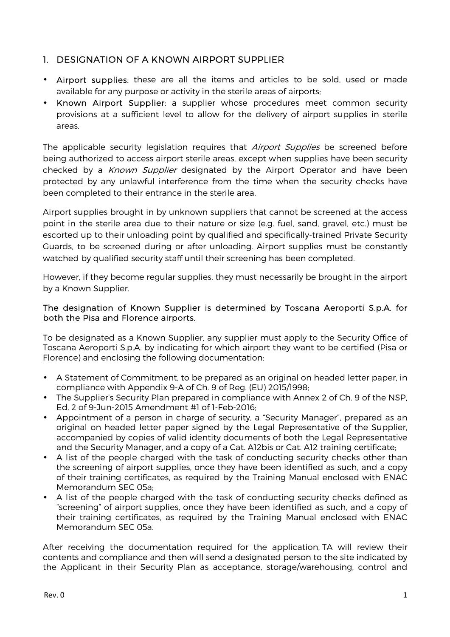### 1. DESIGNATION OF A KNOWN AIRPORT SUPPLIER

- Airport supplies: these are all the items and articles to be sold, used or made available for any purpose or activity in the sterile areas of airports;
- Known Airport Supplier: a supplier whose procedures meet common security provisions at a sufficient level to allow for the delivery of airport supplies in sterile areas.

The applicable security legislation requires that *Airport Supplies* be screened before being authorized to access airport sterile areas, except when supplies have been security checked by a *Known Supplier* designated by the Airport Operator and have been protected by any unlawful interference from the time when the security checks have been completed to their entrance in the sterile area.

Airport supplies brought in by unknown suppliers that cannot be screened at the access point in the sterile area due to their nature or size (e.g. fuel, sand, gravel, etc.) must be escorted up to their unloading point by qualified and specifically-trained Private Security Guards, to be screened during or after unloading. Airport supplies must be constantly watched by qualified security staff until their screening has been completed.

However, if they become regular supplies, they must necessarily be brought in the airport by a Known Supplier.

#### The designation of Known Supplier is determined by Toscana Aeroporti S.p.A. for both the Pisa and Florence airports.

To be designated as a Known Supplier, any supplier must apply to the Security Office of Toscana Aeroporti S.p.A. by indicating for which airport they want to be certified (Pisa or Florence) and enclosing the following documentation:

- A Statement of Commitment, to be prepared as an original on headed letter paper, in compliance with Appendix 9-A of Ch. 9 of Reg. (EU) 2015/1998;
- The Supplier's Security Plan prepared in compliance with Annex 2 of Ch. 9 of the NSP, Ed. 2 of 9-Jun-2015 Amendment #1 of 1-Feb-2016;
- Appointment of a person in charge of security, a "Security Manager", prepared as an original on headed letter paper signed by the Legal Representative of the Supplier, accompanied by copies of valid identity documents of both the Legal Representative and the Security Manager, and a copy of a Cat. A12bis or Cat. A12 training certificate;
- A list of the people charged with the task of conducting security checks other than the screening of airport supplies, once they have been identified as such, and a copy of their training certificates, as required by the Training Manual enclosed with ENAC Memorandum SEC 05a;
- A list of the people charged with the task of conducting security checks defined as "screening" of airport supplies, once they have been identified as such, and a copy of their training certificates, as required by the Training Manual enclosed with ENAC Memorandum SEC 05a.

After receiving the documentation required for the application, TA will review their contents and compliance and then will send a designated person to the site indicated by the Applicant in their Security Plan as acceptance, storage/warehousing, control and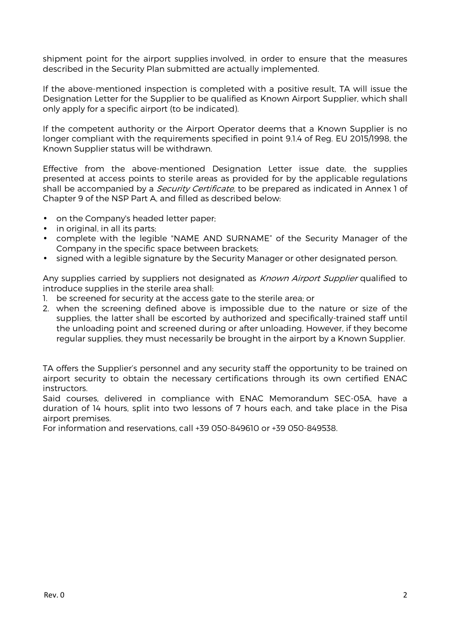shipment point for the airport supplies involved, in order to ensure that the measures described in the Security Plan submitted are actually implemented.

If the above-mentioned inspection is completed with a positive result, TA will issue the Designation Letter for the Supplier to be qualified as Known Airport Supplier, which shall only apply for a specific airport (to be indicated).

If the competent authority or the Airport Operator deems that a Known Supplier is no longer compliant with the requirements specified in point 9.1.4 of Reg. EU 2015/1998, the Known Supplier status will be withdrawn.

Effective from the above-mentioned Designation Letter issue date, the supplies presented at access points to sterile areas as provided for by the applicable regulations shall be accompanied by a *Security Certificate*, to be prepared as indicated in Annex 1 of Chapter 9 of the NSP Part A, and filled as described below:

- on the Company's headed letter paper;
- in original, in all its parts;
- complete with the legible "NAME AND SURNAME" of the Security Manager of the Company in the specific space between brackets;
- signed with a legible signature by the Security Manager or other designated person.

Any supplies carried by suppliers not designated as *Known Airport Supplier* qualified to introduce supplies in the sterile area shall:

- 1. be screened for security at the access gate to the sterile area; or
- 2. when the screening defined above is impossible due to the nature or size of the supplies, the latter shall be escorted by authorized and specifically-trained staff until the unloading point and screened during or after unloading. However, if they become regular supplies, they must necessarily be brought in the airport by a Known Supplier.

TA offers the Supplier's personnel and any security staff the opportunity to be trained on airport security to obtain the necessary certifications through its own certified ENAC instructors.

Said courses, delivered in compliance with ENAC Memorandum SEC-05A, have a duration of 14 hours, split into two lessons of 7 hours each, and take place in the Pisa airport premises.

For information and reservations, call +39 050-849610 or +39 050-849538.